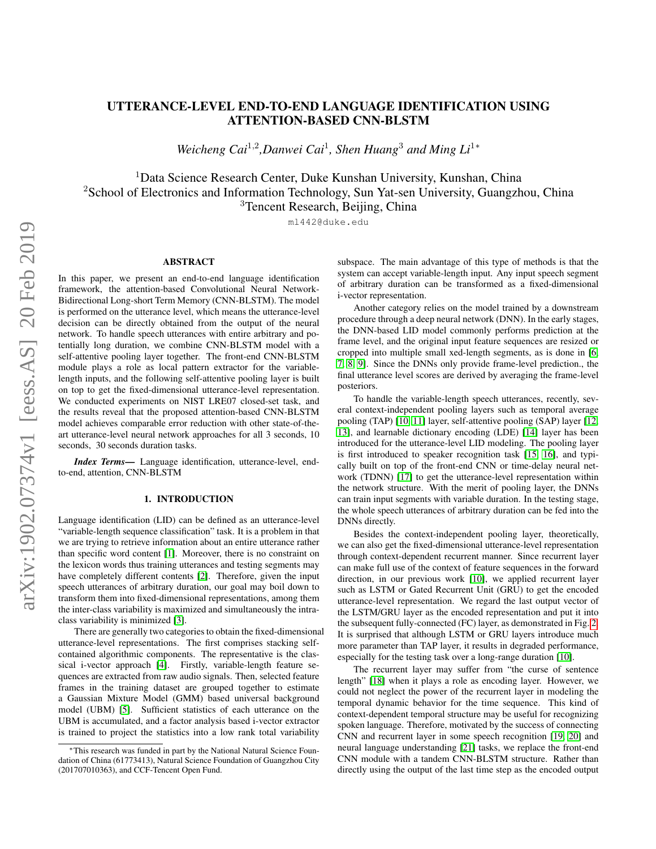# UTTERANCE-LEVEL END-TO-END LANGUAGE IDENTIFICATION USING ATTENTION-BASED CNN-BLSTM

*Weicheng Cai*<sup>1,2</sup>,Danwei Cai<sup>1</sup>, Shen Huang<sup>3</sup> and Ming Li<sup>1∗</sup>

<sup>1</sup>Data Science Research Center, Duke Kunshan University, Kunshan, China <sup>2</sup>School of Electronics and Information Technology, Sun Yat-sen University, Guangzhou, China <sup>3</sup>Tencent Research, Beijing, China

ml442@duke.edu

# ABSTRACT

In this paper, we present an end-to-end language identification framework, the attention-based Convolutional Neural Network-Bidirectional Long-short Term Memory (CNN-BLSTM). The model is performed on the utterance level, which means the utterance-level decision can be directly obtained from the output of the neural network. To handle speech utterances with entire arbitrary and potentially long duration, we combine CNN-BLSTM model with a self-attentive pooling layer together. The front-end CNN-BLSTM module plays a role as local pattern extractor for the variablelength inputs, and the following self-attentive pooling layer is built on top to get the fixed-dimensional utterance-level representation. We conducted experiments on NIST LRE07 closed-set task, and the results reveal that the proposed attention-based CNN-BLSTM model achieves comparable error reduction with other state-of-theart utterance-level neural network approaches for all 3 seconds, 10 seconds, 30 seconds duration tasks.

*Index Terms*— Language identification, utterance-level, endto-end, attention, CNN-BLSTM

# 1. INTRODUCTION

Language identification (LID) can be defined as an utterance-level "variable-length sequence classification" task. It is a problem in that we are trying to retrieve information about an entire utterance rather than specific word content [\[1\]](#page-4-0). Moreover, there is no constraint on the lexicon words thus training utterances and testing segments may have completely different contents [\[2\]](#page-4-1). Therefore, given the input speech utterances of arbitrary duration, our goal may boil down to transform them into fixed-dimensional representations, among them the inter-class variability is maximized and simultaneously the intraclass variability is minimized [\[3\]](#page-4-2).

There are generally two categories to obtain the fixed-dimensional utterance-level representations. The first comprises stacking selfcontained algorithmic components. The representative is the classical i-vector approach [\[4\]](#page-4-3). Firstly, variable-length feature sequences are extracted from raw audio signals. Then, selected feature frames in the training dataset are grouped together to estimate a Gaussian Mixture Model (GMM) based universal background model (UBM) [\[5\]](#page-4-4). Sufficient statistics of each utterance on the UBM is accumulated, and a factor analysis based i-vector extractor is trained to project the statistics into a low rank total variability

subspace. The main advantage of this type of methods is that the system can accept variable-length input. Any input speech segment of arbitrary duration can be transformed as a fixed-dimensional i-vector representation.

Another category relies on the model trained by a downstream procedure through a deep neural network (DNN). In the early stages, the DNN-based LID model commonly performs prediction at the frame level, and the original input feature sequences are resized or cropped into multiple small xed-length segments, as is done in [\[6,](#page-4-5) [7,](#page-4-6) [8,](#page-4-7) [9\]](#page-4-8). Since the DNNs only provide frame-level prediction., the final utterance level scores are derived by averaging the frame-level posteriors.

To handle the variable-length speech utterances, recently, several context-independent pooling layers such as temporal average pooling (TAP) [\[10,](#page-4-9) [11\]](#page-4-10) layer, self-attentive pooling (SAP) layer [\[12,](#page-4-11) [13\]](#page-4-12), and learnable dictionary encoding (LDE) [\[14\]](#page-4-13) layer has been introduced for the utterance-level LID modeling. The pooling layer is first introduced to speaker recognition task [\[15,](#page-4-14) [16\]](#page-4-15), and typically built on top of the front-end CNN or time-delay neural network (TDNN) [\[17\]](#page-4-16) to get the utterance-level representation within the network structure. With the merit of pooling layer, the DNNs can train input segments with variable duration. In the testing stage, the whole speech utterances of arbitrary duration can be fed into the DNNs directly.

Besides the context-independent pooling layer, theoretically, we can also get the fixed-dimensional utterance-level representation through context-dependent recurrent manner. Since recurrent layer can make full use of the context of feature sequences in the forward direction, in our previous work [\[10\]](#page-4-9), we applied recurrent layer such as LSTM or Gated Recurrent Unit (GRU) to get the encoded utterance-level representation. We regard the last output vector of the LSTM/GRU layer as the encoded representation and put it into the subsequent fully-connected (FC) layer, as demonstrated in Fig. [2.](#page-1-0) It is surprised that although LSTM or GRU layers introduce much more parameter than TAP layer, it results in degraded performance, especially for the testing task over a long-range duration [\[10\]](#page-4-9).

The recurrent layer may suffer from "the curse of sentence length" [\[18\]](#page-4-17) when it plays a role as encoding layer. However, we could not neglect the power of the recurrent layer in modeling the temporal dynamic behavior for the time sequence. This kind of context-dependent temporal structure may be useful for recognizing spoken language. Therefore, motivated by the success of connecting CNN and recurrent layer in some speech recognition [\[19,](#page-4-18) [20\]](#page-4-19) and neural language understanding [\[21\]](#page-4-20) tasks, we replace the front-end CNN module with a tandem CNN-BLSTM structure. Rather than directly using the output of the last time step as the encoded output

<sup>∗</sup>This research was funded in part by the National Natural Science Foundation of China (61773413), Natural Science Foundation of Guangzhou City (201707010363), and CCF-Tencent Open Fund.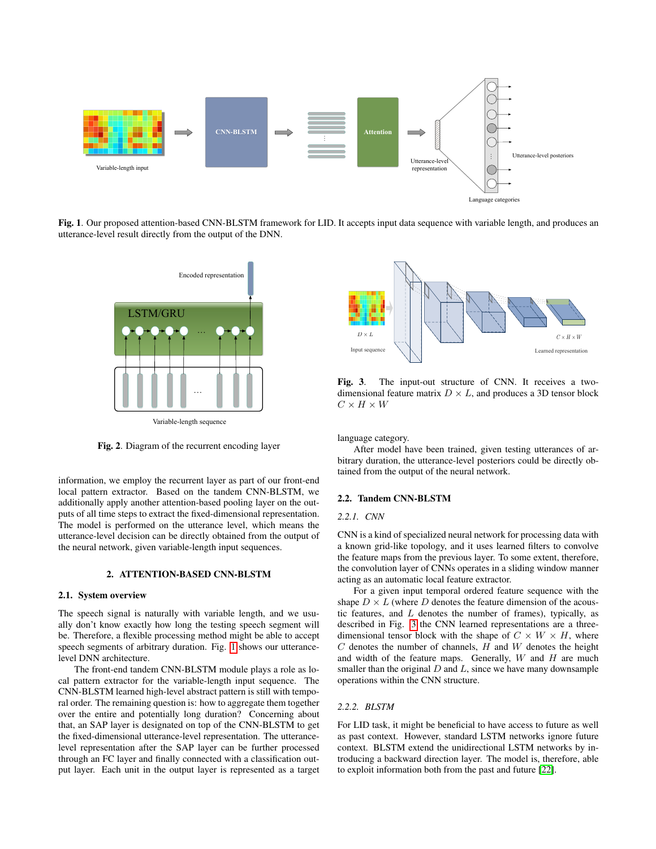

<span id="page-1-1"></span>Fig. 1. Our proposed attention-based CNN-BLSTM framework for LID. It accepts input data sequence with variable length, and produces an utterance-level result directly from the output of the DNN.



Variable-length sequence

<span id="page-1-0"></span>Fig. 2. Diagram of the recurrent encoding layer

information, we employ the recurrent layer as part of our front-end local pattern extractor. Based on the tandem CNN-BLSTM, we additionally apply another attention-based pooling layer on the outputs of all time steps to extract the fixed-dimensional representation. The model is performed on the utterance level, which means the utterance-level decision can be directly obtained from the output of the neural network, given variable-length input sequences.

#### 2. ATTENTION-BASED CNN-BLSTM

## 2.1. System overview

The speech signal is naturally with variable length, and we usually don't know exactly how long the testing speech segment will be. Therefore, a flexible processing method might be able to accept speech segments of arbitrary duration. Fig. [1](#page-1-1) shows our utterancelevel DNN architecture.

The front-end tandem CNN-BLSTM module plays a role as local pattern extractor for the variable-length input sequence. The CNN-BLSTM learned high-level abstract pattern is still with temporal order. The remaining question is: how to aggregate them together over the entire and potentially long duration? Concerning about that, an SAP layer is designated on top of the CNN-BLSTM to get the fixed-dimensional utterance-level representation. The utterancelevel representation after the SAP layer can be further processed through an FC layer and finally connected with a classification out-For a puring the state of CNN control is the output layer of CNN. In receives a target of CNN in the output layer is represented as a target of CNN control is represented as a target Input sequence Learned representation



<span id="page-1-2"></span>Fig. 3. The input-out structure of CNN. It receives a twodimensional feature matrix  $D \times L$ , and produces a 3D tensor block  $C \times H \times W$ 

language category.

After model have been trained, given testing utterances of arbitrary duration, the utterance-level posteriors could be directly obtained from the output of the neural network.

## 2.2. Tandem CNN-BLSTM

## *2.2.1. CNN*

CNN is a kind of specialized neural network for processing data with a known grid-like topology, and it uses learned filters to convolve the feature maps from the previous layer. To some extent, therefore, the convolution layer of CNNs operates in a sliding window manner acting as an automatic local feature extractor.

For a given input temporal ordered feature sequence with the shape  $D \times L$  (where D denotes the feature dimension of the acoustic features, and  $L$  denotes the number of frames), typically, as described in Fig. [3](#page-1-2) the CNN learned representations are a threedimensional tensor block with the shape of  $C \times W \times H$ , where  $C$  denotes the number of channels,  $H$  and  $W$  denotes the height and width of the feature maps. Generally,  $W$  and  $H$  are much smaller than the original  $D$  and  $L$ , since we have many downsample operations within the CNN structure.

## *2.2.2. BLSTM*

For LID task, it might be beneficial to have access to future as well as past context. However, standard LSTM networks ignore future context. BLSTM extend the unidirectional LSTM networks by introducing a backward direction layer. The model is, therefore, able to exploit information both from the past and future [\[22\]](#page-4-21).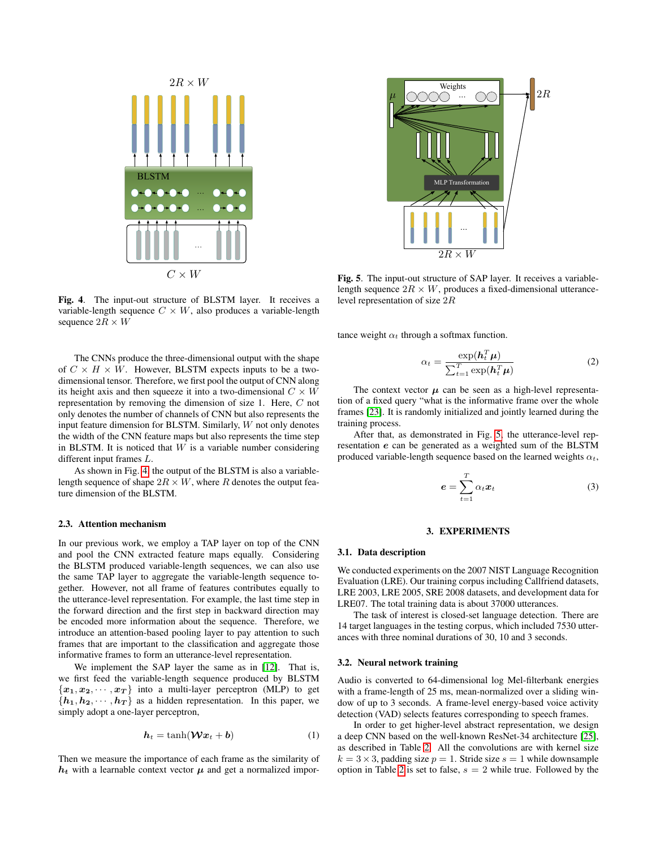

<span id="page-2-0"></span>Fig. 4. The input-out structure of BLSTM layer. It receives a variable-length sequence  $C \times W$ , also produces a variable-length sequence  $2R \times W$ 

The CNNs produce the three-dimensional output with the shape of  $C \times H \times W$ . However, BLSTM expects inputs to be a twodimensional tensor. Therefore, we first pool the output of CNN along its height axis and then squeeze it into a two-dimensional  $C \times W$ representation by removing the dimension of size 1. Here, C not only denotes the number of channels of CNN but also represents the input feature dimension for BLSTM. Similarly, W not only denotes the width of the CNN feature maps but also represents the time step in BLSTM. It is noticed that  $W$  is a variable number considering different input frames L.

As shown in Fig. [4,](#page-2-0) the output of the BLSTM is also a variablelength sequence of shape  $2R \times W$ , where R denotes the output feature dimension of the BLSTM.

# 2.3. Attention mechanism

In our previous work, we employ a TAP layer on top of the CNN and pool the CNN extracted feature maps equally. Considering the BLSTM produced variable-length sequences, we can also use the same TAP layer to aggregate the variable-length sequence together. However, not all frame of features contributes equally to the utterance-level representation. For example, the last time step in the forward direction and the first step in backward direction may be encoded more information about the sequence. Therefore, we introduce an attention-based pooling layer to pay attention to such frames that are important to the classification and aggregate those informative frames to form an utterance-level representation.

We implement the SAP layer the same as in [\[12\]](#page-4-11). That is, we first feed the variable-length sequence produced by BLSTM  ${x_1, x_2, \dots, x_T}$  into a multi-layer perceptron (MLP) to get  ${h_1, h_2, \cdots, h_T}$  as a hidden representation. In this paper, we simply adopt a one-layer perceptron,

$$
h_t = \tanh(\mathcal{W}x_t + b) \tag{1}
$$

Then we measure the importance of each frame as the similarity of  $h_t$  with a learnable context vector  $\mu$  and get a normalized impor-



<span id="page-2-1"></span>Fig. 5. The input-out structure of SAP layer. It receives a variablelength sequence  $2R \times W$ , produces a fixed-dimensional utterancelevel representation of size 2R

tance weight  $\alpha_t$  through a softmax function.

$$
\alpha_t = \frac{\exp(\boldsymbol{h}_t^T \boldsymbol{\mu})}{\sum_{t=1}^T \exp(\boldsymbol{h}_t^T \boldsymbol{\mu})}
$$
(2)

The context vector  $\mu$  can be seen as a high-level representation of a fixed query "what is the informative frame over the whole frames [\[23\]](#page-4-22). It is randomly initialized and jointly learned during the training process.

After that, as demonstrated in Fig. [5,](#page-2-1) the utterance-level representation e can be generated as a weighted sum of the BLSTM produced variable-length sequence based on the learned weights  $\alpha_t$ ,

$$
e = \sum_{t=1}^{T} \alpha_t x_t \tag{3}
$$

## 3. EXPERIMENTS

#### 3.1. Data description

We conducted experiments on the 2007 NIST Language Recognition Evaluation (LRE). Our training corpus including Callfriend datasets, LRE 2003, LRE 2005, SRE 2008 datasets, and development data for LRE07. The total training data is about 37000 utterances.

The task of interest is closed-set language detection. There are 14 target languages in the testing corpus, which included 7530 utterances with three nominal durations of 30, 10 and 3 seconds.

#### 3.2. Neural network training

Audio is converted to 64-dimensional log Mel-filterbank energies with a frame-length of 25 ms, mean-normalized over a sliding window of up to 3 seconds. A frame-level energy-based voice activity detection (VAD) selects features corresponding to speech frames.

In order to get higher-level abstract representation, we design a deep CNN based on the well-known ResNet-34 architecture [\[25\]](#page-4-23), as described in Table [2.](#page-3-0) All the convolutions are with kernel size  $k = 3 \times 3$ , padding size  $p = 1$ . Stride size  $s = 1$  while downsample option in Table [2](#page-3-0) is set to false,  $s = 2$  while true. Followed by the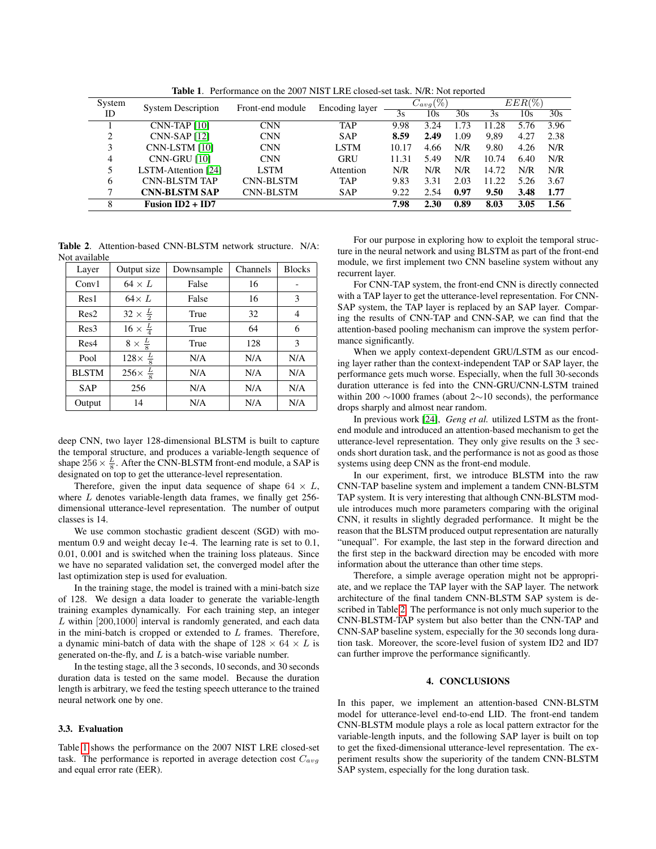<span id="page-3-1"></span>Table 1. Performance on the 2007 NIST LRE closed-set task. N/R: Not reported

| System | <b>System Description</b> | Front-end module | Encoding layer | $C_{avg} (\%)$ |      |      | $EER(\%)$ |      |      |
|--------|---------------------------|------------------|----------------|----------------|------|------|-----------|------|------|
| ID     |                           |                  |                | 3s             | 10s  | 30s  | 3s        | 10s  | 30s  |
|        | $CNN-TAP$ [10]            | <b>CNN</b>       | <b>TAP</b>     | 9.98           | 3.24 | l.73 | 11.28     | 5.76 | 3.96 |
| 2      | <b>CNN-SAP</b> [12]       | <b>CNN</b>       | <b>SAP</b>     | 8.59           | 2.49 | 1.09 | 9.89      | 4.27 | 2.38 |
| 3      | CNN-LSTM [10]             | <b>CNN</b>       | <b>LSTM</b>    | 10.17          | 4.66 | N/R  | 9.80      | 4.26 | N/R  |
| 4      | <b>CNN-GRU [10]</b>       | <b>CNN</b>       | GRU            | 11.31          | 5.49 | N/R  | 10.74     | 6.40 | N/R  |
| 5      | LSTM-Attention [24]       | <b>LSTM</b>      | Attention      | N/R            | N/R  | N/R  | 14.72     | N/R  | N/R  |
| 6      | <b>CNN-BLSTM TAP</b>      | <b>CNN-BLSTM</b> | <b>TAP</b>     | 9.83           | 3.31 | 2.03 | 11.22     | 5.26 | 3.67 |
| ┑      | <b>CNN-BLSTM SAP</b>      | <b>CNN-BLSTM</b> | <b>SAP</b>     | 9.22           | 2.54 | 0.97 | 9.50      | 3.48 | 1.77 |
| 8      | Fusion $ID2 + ID7$        |                  |                | 7.98           | 2.30 | 0.89 | 8.03      | 3.05 | 1.56 |

<span id="page-3-0"></span>Table 2. Attention-based CNN-BLSTM network structure. N/A: Not available

| Layer            | Output size              | Downsample | Channels | <b>Blocks</b> |
|------------------|--------------------------|------------|----------|---------------|
| Conv1            | $64 \times L$            | False      | 16       |               |
| Res1             | $64\times L$             | False      | 16       | 3             |
| Res2             | $32 \times \frac{L}{2}$  | True       | 32       | 4             |
| Res3             | $16 \times \frac{L}{4}$  | True       | 64       | 6             |
| Res <sub>4</sub> | $8 \times \frac{L}{8}$   | True       | 128      | 3             |
| Pool             | $128 \times \frac{L}{8}$ | N/A        | N/A      | N/A           |
| <b>BLSTM</b>     | $256\times \frac{L}{8}$  | N/A        | N/A      | N/A           |
| <b>SAP</b>       | 256                      | N/A        | N/A      | N/A           |
| Output           | 14                       | N/A        | N/A      | N/A           |

deep CNN, two layer 128-dimensional BLSTM is built to capture the temporal structure, and produces a variable-length sequence of shape  $256 \times \frac{L}{8}$ . After the CNN-BLSTM front-end module, a SAP is designated on top to get the utterance-level representation.

Therefore, given the input data sequence of shape  $64 \times L$ , where  $L$  denotes variable-length data frames, we finally get 256dimensional utterance-level representation. The number of output classes is 14.

We use common stochastic gradient descent (SGD) with momentum 0.9 and weight decay 1e-4. The learning rate is set to 0.1, 0.01, 0.001 and is switched when the training loss plateaus. Since we have no separated validation set, the converged model after the last optimization step is used for evaluation.

In the training stage, the model is trained with a mini-batch size of 128. We design a data loader to generate the variable-length training examples dynamically. For each training step, an integer  $L$  within [200,1000] interval is randomly generated, and each data in the mini-batch is cropped or extended to L frames. Therefore, a dynamic mini-batch of data with the shape of  $128 \times 64 \times L$  is generated on-the-fly, and  $L$  is a batch-wise variable number.

In the testing stage, all the 3 seconds, 10 seconds, and 30 seconds duration data is tested on the same model. Because the duration length is arbitrary, we feed the testing speech utterance to the trained neural network one by one.

## 3.3. Evaluation

Table [1](#page-3-1) shows the performance on the 2007 NIST LRE closed-set task. The performance is reported in average detection cost  $C_{avg}$ and equal error rate (EER).

For our purpose in exploring how to exploit the temporal structure in the neural network and using BLSTM as part of the front-end module, we first implement two CNN baseline system without any recurrent layer.

For CNN-TAP system, the front-end CNN is directly connected with a TAP layer to get the utterance-level representation. For CNN-SAP system, the TAP layer is replaced by an SAP layer. Comparing the results of CNN-TAP and CNN-SAP, we can find that the attention-based pooling mechanism can improve the system performance significantly.

When we apply context-dependent GRU/LSTM as our encoding layer rather than the context-independent TAP or SAP layer, the performance gets much worse. Especially, when the full 30-seconds duration utterance is fed into the CNN-GRU/CNN-LSTM trained within 200 ∼1000 frames (about 2∼10 seconds), the performance drops sharply and almost near random.

In previous work [\[24\]](#page-4-24), *Geng et al.* utilized LSTM as the frontend module and introduced an attention-based mechanism to get the utterance-level representation. They only give results on the 3 seconds short duration task, and the performance is not as good as those systems using deep CNN as the front-end module.

In our experiment, first, we introduce BLSTM into the raw CNN-TAP baseline system and implement a tandem CNN-BLSTM TAP system. It is very interesting that although CNN-BLSTM module introduces much more parameters comparing with the original CNN, it results in slightly degraded performance. It might be the reason that the BLSTM produced output representation are naturally "unequal". For example, the last step in the forward direction and the first step in the backward direction may be encoded with more information about the utterance than other time steps.

Therefore, a simple average operation might not be appropriate, and we replace the TAP layer with the SAP layer. The network architecture of the final tandem CNN-BLSTM SAP system is described in Table [2.](#page-3-0) The performance is not only much superior to the CNN-BLSTM-TAP system but also better than the CNN-TAP and CNN-SAP baseline system, especially for the 30 seconds long duration task. Moreover, the score-level fusion of system ID2 and ID7 can further improve the performance significantly.

#### 4. CONCLUSIONS

In this paper, we implement an attention-based CNN-BLSTM model for utterance-level end-to-end LID. The front-end tandem CNN-BLSTM module plays a role as local pattern extractor for the variable-length inputs, and the following SAP layer is built on top to get the fixed-dimensional utterance-level representation. The experiment results show the superiority of the tandem CNN-BLSTM SAP system, especially for the long duration task.